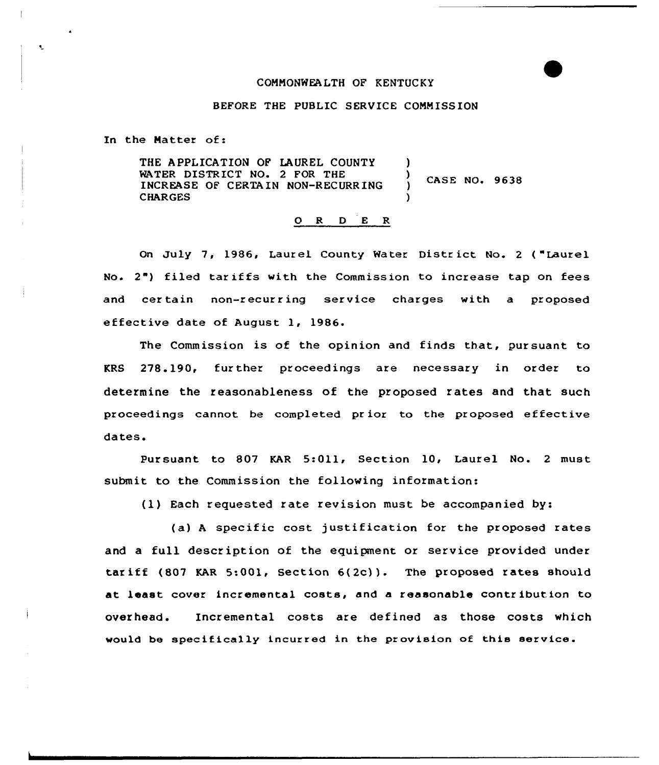## COMNONWEALTH OF KENTUCKY

## BEFORE THE PUBLIC SERVICE CONNISS ION

In the Matter of:

THE APPLICATION OP LAUREL COUNTY WATER DISTRICT NO. 2 FOR THE INCREASE OF CERTAIN NON-RECURRING CHARGES )  $\big)$  CASE NO. 9638 )

## 0 <sup>R</sup> <sup>D</sup> E R

On July 7, 1986, Laurel County Water District No. 2 ("Laurel No.  $2<sup>n</sup>$ ) filed tariffs with the Commission to increase tap on fees and cer tain non-recurring service charges with a proposed effective date of August 1, 1986.

The Commission is of the opinion and finds that, pursuant to KRS 278.190, fur ther proceedings are necessary in order to determine the reasonableness of the proposed rates and that such proceedings cannot be completed prior to the proposed effective dates.

Pursuant to 807 KAR 5:011, Section 10, Laurel No. 2 must submit to the Commission the following information:

(1) Each requested rate revision must be accompanied by:

(a) A specific cost justification for the proposed rates and a full description of the equipment or service provided under tar iff (807 KAR 5:001, Section 6(2c) ). The proposed rates should at least cover incremental costs, and a reasonable contribution to overhead. Incremental costs are defined as those costs which would be specifically incurred in the provision of this service.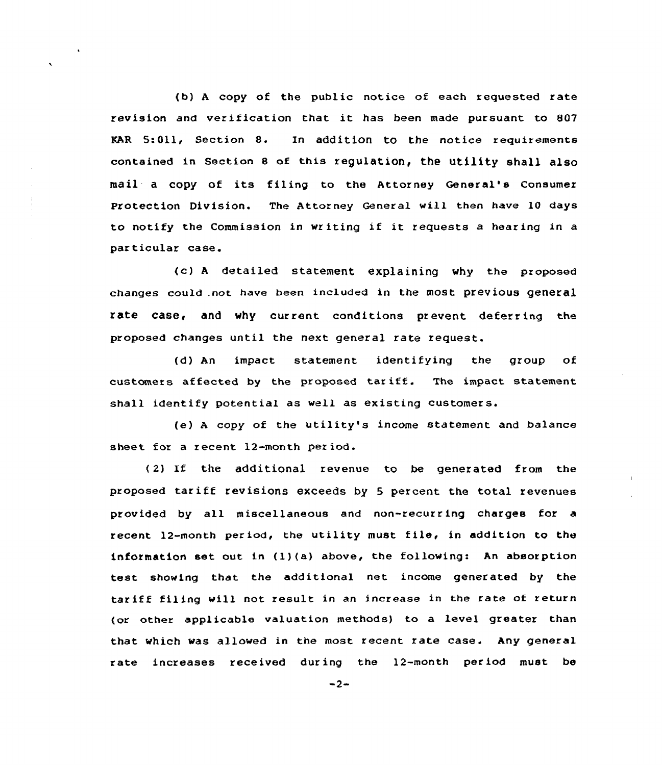(b) <sup>A</sup> copy of the public notice of each requested rate revision and verification that it has been made pursuant to <sup>807</sup> EAR 5:011, Section 8. Xn addition to the notice requirements contained in Section <sup>8</sup> of this regulation, the utility shall also mail <sup>a</sup> copy of its filing to the Attorney General's consumer Protection Division. The Attorney General will then have 10 days to notify the Commission in writing if it requests <sup>a</sup> hearing in <sup>a</sup> particular case.

(c) <sup>A</sup> detailed statement explaining why the proposed changes could .not have been included in the most previous general rate case, and why current conditions prevent deferring the proposed changes until the next general rate request.

(d) An impact statement identifying the group of customers affected by the proposed tariff. The impact statement shall identify potential as well as existing customers.

(e) <sup>A</sup> copy of the utility's income statement and balance sheet for a recent 12-month period.

( 2) If the additional revenue to be generated from the proposed tariff revisions exceeds by <sup>5</sup> percent the total revenues provided by all miscellaneous and non-recurring charges for a recent 12-month period, the utility must file, in addition to the information set out in  $(1)(a)$  above, the following: An absorption test showing that the additional net income generated by the tariff filing will not result in an increase in the rate of return (or other applicable valuation methods) to a level greater than that which was allowed in the most recent rate case. Any general rate increases received during the 12-month period must be

 $-2-$